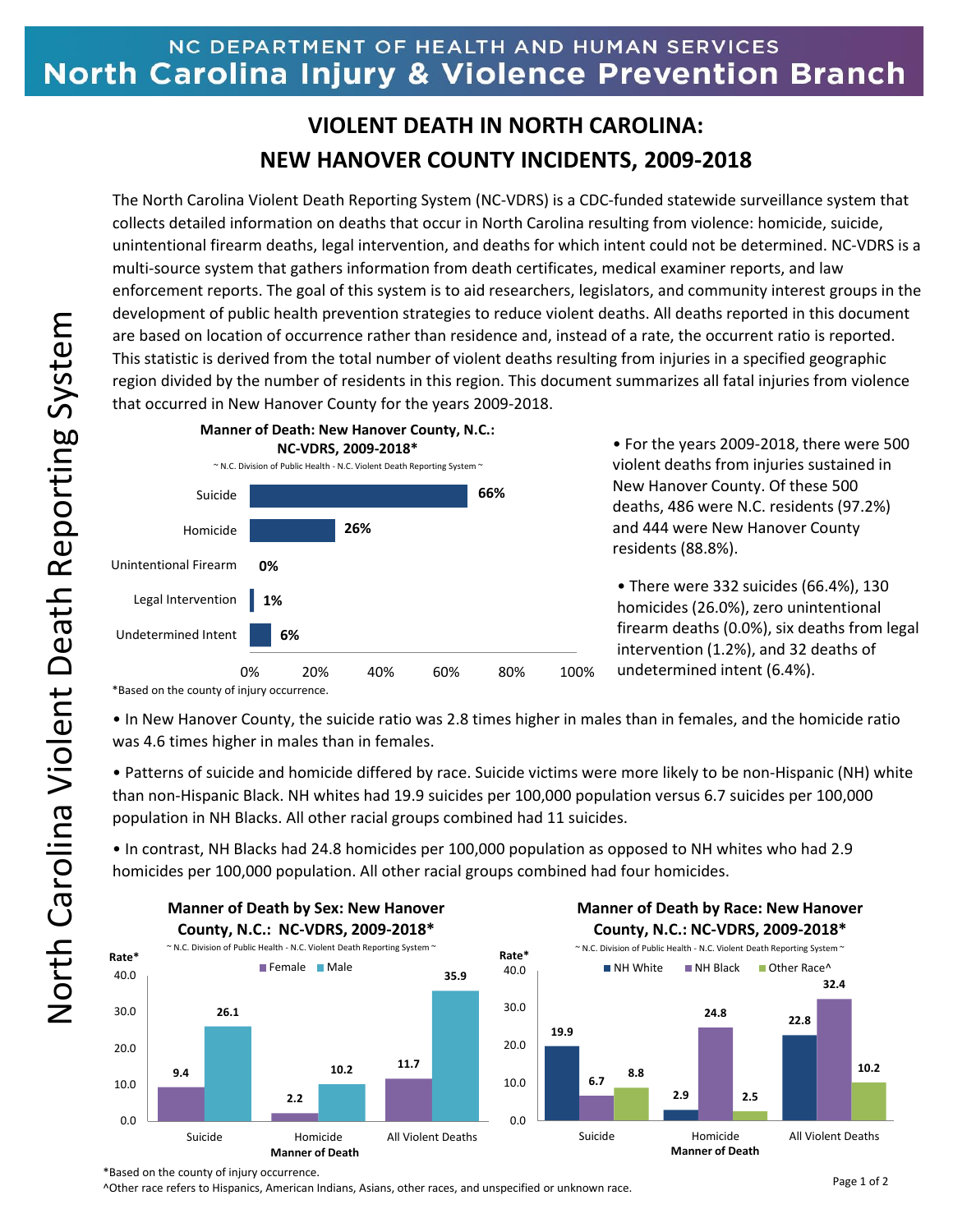## NC DEPARTMENT OF HEALTH AND HUMAN SERVICES North Carolina Injury & Violence Prevention Branch

## **VIOLENT DEATH IN NORTH CAROLINA: NEW HANOVER COUNTY INCIDENTS, 2009-2018**

The North Carolina Violent Death Reporting System (NC-VDRS) is a CDC-funded statewide surveillance system that collects detailed information on deaths that occur in North Carolina resulting from violence: homicide, suicide, unintentional firearm deaths, legal intervention, and deaths for which intent could not be determined. NC-VDRS is a multi-source system that gathers information from death certificates, medical examiner reports, and law enforcement reports. The goal of this system is to aid researchers, legislators, and community interest groups in the development of public health prevention strategies to reduce violent deaths. All deaths reported in this document are based on location of occurrence rather than residence and, instead of a rate, the occurrent ratio is reported. This statistic is derived from the total number of violent deaths resulting from injuries in a specified geographic region divided by the number of residents in this region. This document summarizes all fatal injuries from violence that occurred in New Hanover County for the years 2009-2018.



• For the years 2009-2018, there were 500 violent deaths from injuries sustained in New Hanover County. Of these 500 deaths, 486 were N.C. residents (97.2%) and 444 were New Hanover County residents (88.8%).

• There were 332 suicides (66.4%), 130 homicides (26.0%), zero unintentional firearm deaths (0.0%), six deaths from legal intervention (1.2%), and 32 deaths of undetermined intent (6.4%).

\*Based on the county of injury occurrence.

• In New Hanover County, the suicide ratio was 2.8 times higher in males than in females, and the homicide ratio was 4.6 times higher in males than in females.

• Patterns of suicide and homicide differed by race. Suicide victims were more likely to be non-Hispanic (NH) white than non-Hispanic Black. NH whites had 19.9 suicides per 100,000 population versus 6.7 suicides per 100,000 population in NH Blacks. All other racial groups combined had 11 suicides.

• In contrast, NH Blacks had 24.8 homicides per 100,000 population as opposed to NH whites who had 2.9 homicides per 100,000 population. All other racial groups combined had four homicides.



North Carolina Violent Death Reporting System North Carolina Violent Death Reporting System

^Other race refers to Hispanics, American Indians, Asians, other races, and unspecified or unknown race.

<sup>\*</sup>Based on the county of injury occurrence.